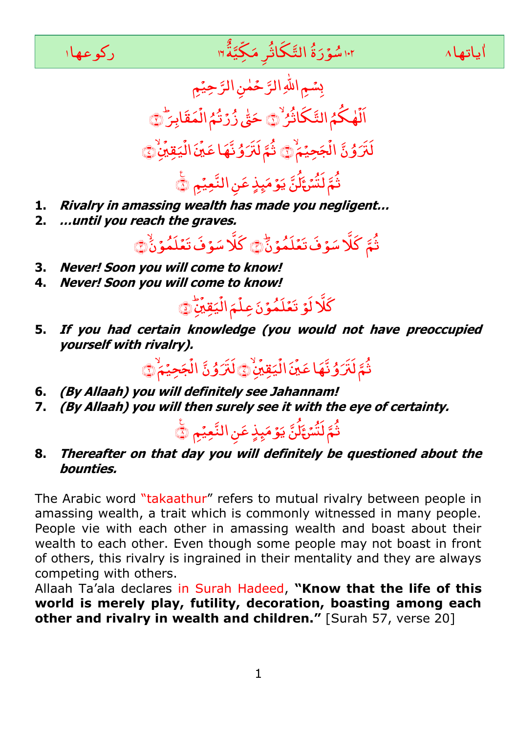

## ا اسُوۡرَةُ التَّكَاثُرِ مَكِّيَةٌٗ"ا مَسَّلَّى اللّٰہَ عَلَيْهِ اللّٰہَ وَاللّٰہَ عَلَى اللّٰہَ مِنْ اللّٰہَ و ्<br>१ یاتها ۱۰ سنگورَةَ التَّكَاثُرِ مَكِيَّةً ٣



بِسُمِ اللهِ الرَّحْمٰنِ الرَّحِيْمِ ر<br>ا لَهٰكُمُ التَّكَاثُرُ<sup>ِ</sup> الَهٰكُمُ التَّكَاثَرُ ۞ َ اِار َ َ ْ حَتّٰى زُرۡتُمُ الۡمَقَابِرَ ۙ۞ ٰ ڵڗؘ*ٛ*ٷڽٞ َ جَحِيۡمُ ْ الْجَحِيْمَ ۚ ۚ قَمَّ لَتَرَوُّنَّهَا عَيْنَ الْيَقِينِ , <sub></sub><br>یَقِیْنَ ْ ال َ , ثُمَّ لَتَرَوُّنَّهَا عَيِّنَ الْيَقِيَٰنِِۗ ﴾ ر<br>ثُمَّ لَنْسُءَ م<br>تَالنَّ يَوۡمَىِذٍ عَنِ النَّعِيۡمِ ۞

- **1. Rivalry in amassing wealth has made you negligent…**
- **2. …until you reach the graves.**

ثُمَّ كَلَّا سَوْفَ تَعۡلَمُوۡنَّیۡ كَلَّا سَوۡفَ تَعۡلَمُوۡنَٰی

- **3. Never! Soon you will come to know!**
- **4. Never! Soon you will come to know!**

بُ , <sub></sub><br>یَقِیْنِ ۔<br>ج ال َ  $\tilde{\bullet}$ ؚ كَلَّا لَوۡ تَعۡلَمُوۡنَ عِلۡمَ الۡيَقِيۡنَٰٓ۞

**5. If you had certain knowledge (you would not have preoccupied yourself with rivalry).**

ڵڗؙٷ<sub>ۘ</sub>ڽٞؖ َ ِ<br>جَحِيْمٌ ْ ِ الْآَرُوُنَّ الْجَحِيْمَ ٢ , <sub></sub><br>یَقِیُنُ ْ ال َ , ثُمَّ لَٰتَرُوُنَّهَا عَيۡنَ الۡيَقِيَٰنِۙ۞

- **6. (By Allaah) you will definitely see Jahannam!**
- **7. (By Allaah) you will then surely see it with the eye of certainty.**

د<br>ثُمَّ لَنُّسَْئ<sup>َ</sup> مَّاكَّ يَوْمَيِذٍ عَنِ النَّعِيْمِ ۞

**8. Thereafter on that day you will definitely be questioned about the bounties.**

The Arabic word "takaathur" refers to mutual rivalry between people in amassing wealth, a trait which is commonly witnessed in many people. People vie with each other in amassing wealth and boast about their wealth to each other. Even though some people may not boast in front of others, this rivalry is ingrained in their mentality and they are always competing with others.

Allaah Ta"ala declares in Surah Hadeed, **"Know that the life of this world is merely play, futility, decoration, boasting among each other and rivalry in wealth and children."** [Surah 57, verse 20]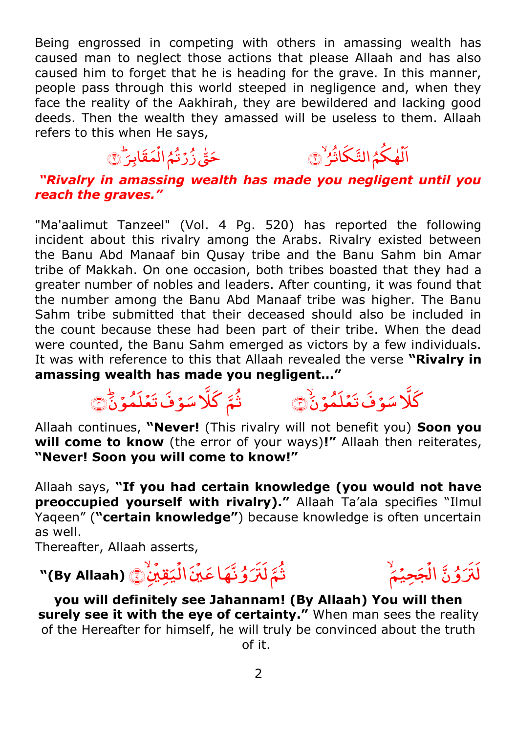Being engrossed in competing with others in amassing wealth has caused man to neglect those actions that please Allaah and has also caused him to forget that he is heading for the grave. In this manner, people pass through this world steeped in negligence and, when they face the reality of the Aakhirah, they are bewildered and lacking good deeds. Then the wealth they amassed will be useless to them. Allaah refers to this when He says,

### مَقَابِر<del>َ</del> ່<br>, حَقّٰى زُرْتُمُ الْمَقَابِرَ ۞ ٰ

ُ ڶ<sup>ۣ</sup>ۿڬۘٛمُ١لتَّكَاثُرُ الَّهْكُمُ التَّكَاثُرُ ۞

> َّ ن ُ و َ َََت ل

ْ

جَحِيۡمُ

*"Rivalry in amassing wealth has made you negligent until you reach the graves."*

"Ma'aalimut Tanzeel" (Vol. 4 Pg. 520) has reported the following incident about this rivalry among the Arabs. Rivalry existed between the Banu Abd Manaaf bin Qusay tribe and the Banu Sahm bin Amar tribe of Makkah. On one occasion, both tribes boasted that they had a greater number of nobles and leaders. After counting, it was found that the number among the Banu Abd Manaaf tribe was higher. The Banu Sahm tribe submitted that their deceased should also be included in the count because these had been part of their tribe. When the dead were counted, the Banu Sahm emerged as victors by a few individuals. It was with reference to this that Allaah revealed the verse **"Rivalry in amassing wealth has made you negligent…"** 

### َ ۇفَ تَغَلَّمُوْنٌ َكَلَا سَوْفَ تَعُلَّمُوۡنَّ ۞ ا ۇفَ تَغَلَّمُوْنً َثَمَّ كَلَا سَوْفُ تَعُلَّمُوۡنَّ ۞

Allaah continues, **"Never!** (This rivalry will not benefit you) **Soon you will come to know** (the error of your ways)**!"** Allaah then reiterates, **"Never! Soon you will come to know!"**

Allaah says, **"If you had certain knowledge (you would not have**  preoccupied yourself with rivalry)." Allaah Ta'ala specifies "Ilmul Yaqeen" (**"certain knowledge"**) because knowledge is often uncertain as well.

Thereafter, Allaah asserts,

#### الُجَحِيَّمُ ۚ ۚ وَلَا يَقِيَّنَّ الْيَقِيِّنِ ۖ لَآَيَا لَهَ لَهُ الْيَقِيِّنِ .<br>, ؽۊ<u>؉ؙۣ</u> ی .<br>• ال َ .<br>, َ اع َ َّہ ُ و ثَمَّ لَل*َّ*َ وُ نَّهَا عَيۡنَ الۡيَقِيۡنِؕ ۞ (By Allaah) ``

َ **you will definitely see Jahannam! (By Allaah) You will then surely see it with the eye of certainty."** When man sees the reality of the Hereafter for himself, he will truly be convinced about the truth of it.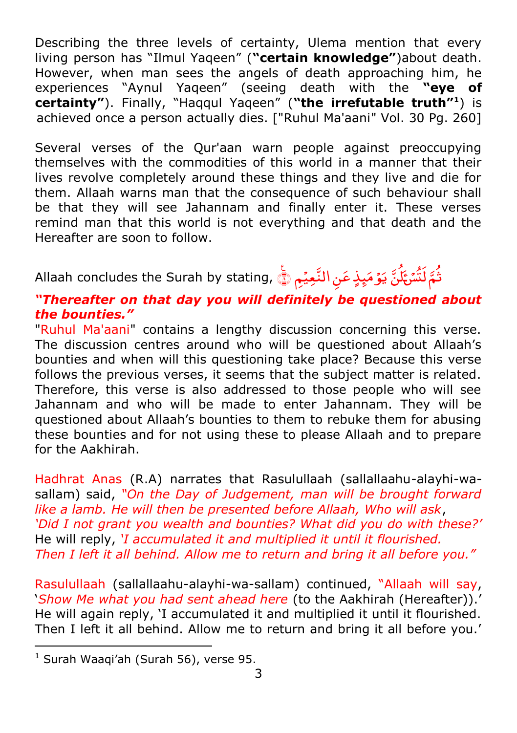Describing the three levels of certainty, Ulema mention that every living person has "Ilmul Yaqeen" (**"certain knowledge"**)about death. However, when man sees the angels of death approaching him, he experiences "Aynul Yaqeen" (seeing death with the **"eye of certainty"**). Finally, "Haqqul Yaqeen" (**"the irrefutable truth"<sup>1</sup>** ) is achieved once a person actually dies. ["Ruhul Ma'aani" Vol. 30 Pg. 260]

Several verses of the Qur'aan warn people against preoccupying themselves with the commodities of this world in a manner that their lives revolve completely around these things and they live and die for them. Allaah warns man that the consequence of such behaviour shall be that they will see Jahannam and finally enter it. These verses remind man that this world is not everything and that death and the Hereafter are soon to follow.

نُّمَّ لَتُّنَ َكُنَّ يَوْمَبِذٍ عَنِ النَّعِيۡمِ ۞ ,Allaah concludes the Surah by stating م<br>تاريخ يَوْمَيِذٍ عَنِ النَّعِيْمِ ١

# *"Thereafter on that day you will definitely be questioned about the bounties."*

"Ruhul Ma'aani" contains a lengthy discussion concerning this verse. The discussion centres around who will be questioned about Allaah"s bounties and when will this questioning take place? Because this verse follows the previous verses, it seems that the subject matter is related. Therefore, this verse is also addressed to those people who will see Jahannam and who will be made to enter Jahannam. They will be questioned about Allaah"s bounties to them to rebuke them for abusing these bounties and for not using these to please Allaah and to prepare for the Aakhirah.

Hadhrat Anas (R.A) narrates that Rasulullaah (sallallaahu-alayhi-wasallam) said, *"On the Day of Judgement, man will be brought forward like a lamb. He will then be presented before Allaah, Who will ask*, *"Did I not grant you wealth and bounties? What did you do with these?"* He will reply, *"I accumulated it and multiplied it until it flourished. Then I left it all behind. Allow me to return and bring it all before you."*

Rasulullaah (sallallaahu-alayhi-wa-sallam) continued, "Allaah will say, "*Show Me what you had sent ahead here* (to the Aakhirah (Hereafter))." He will again reply, "I accumulated it and multiplied it until it flourished. Then I left it all behind. Allow me to return and bring it all before you.'

1

 $<sup>1</sup>$  Surah Waaqi'ah (Surah 56), verse 95.</sup>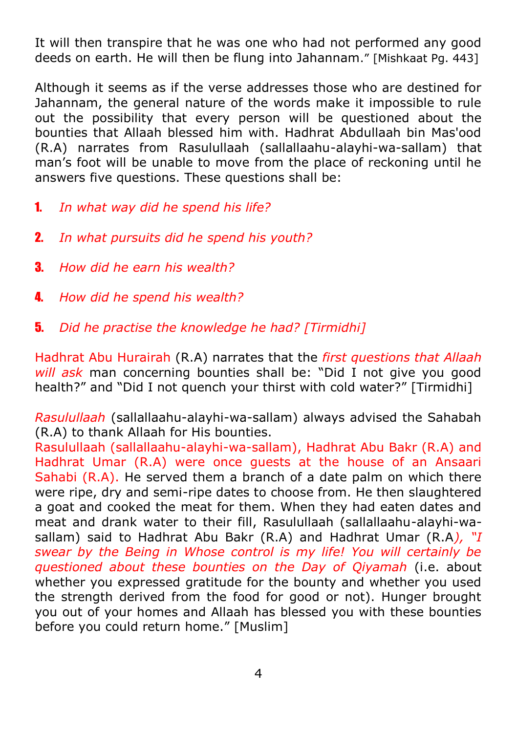It will then transpire that he was one who had not performed any good deeds on earth. He will then be flung into Jahannam." [Mishkaat Pg. 443]

Although it seems as if the verse addresses those who are destined for Jahannam, the general nature of the words make it impossible to rule out the possibility that every person will be questioned about the bounties that Allaah blessed him with. Hadhrat Abdullaah bin Mas'ood (R.A) narrates from Rasulullaah (sallallaahu-alayhi-wa-sallam) that man"s foot will be unable to move from the place of reckoning until he answers five questions. These questions shall be:

- 1. *In what way did he spend his life?*
- 2. *In what pursuits did he spend his youth?*
- 3. *How did he earn his wealth?*
- 4. *How did he spend his wealth?*
- 5. *Did he practise the knowledge he had? [Tirmidhi]*

Hadhrat Abu Hurairah (R.A) narrates that the *first questions that Allaah will ask* man concerning bounties shall be: "Did I not give you good health?" and "Did I not quench your thirst with cold water?" [Tirmidhi]

*Rasulullaah* (sallallaahu-alayhi-wa-sallam) always advised the Sahabah (R.A) to thank Allaah for His bounties.

Rasulullaah (sallallaahu-alayhi-wa-sallam), Hadhrat Abu Bakr (R.A) and Hadhrat Umar (R.A) were once guests at the house of an Ansaari Sahabi (R.A). He served them a branch of a date palm on which there were ripe, dry and semi-ripe dates to choose from. He then slaughtered a goat and cooked the meat for them. When they had eaten dates and meat and drank water to their fill, Rasulullaah (sallallaahu-alayhi-wasallam) said to Hadhrat Abu Bakr (R.A) and Hadhrat Umar (R.A*), "I swear by the Being in Whose control is my life! You will certainly be questioned about these bounties on the Day of Qiyamah* (i.e. about whether you expressed gratitude for the bounty and whether you used the strength derived from the food for good or not). Hunger brought you out of your homes and Allaah has blessed you with these bounties before you could return home." [Muslim]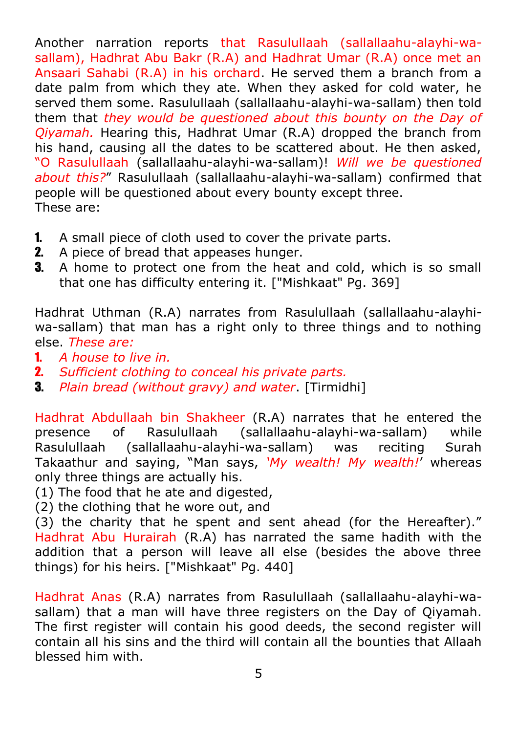Another narration reports that Rasulullaah (sallallaahu-alayhi-wasallam), Hadhrat Abu Bakr (R.A) and Hadhrat Umar (R.A) once met an Ansaari Sahabi (R.A) in his orchard. He served them a branch from a date palm from which they ate. When they asked for cold water, he served them some. Rasulullaah (sallallaahu-alayhi-wa-sallam) then told them that *they would be questioned about this bounty on the Day of Qiyamah.* Hearing this, Hadhrat Umar (R.A) dropped the branch from his hand, causing all the dates to be scattered about. He then asked, "O Rasulullaah (sallallaahu-alayhi-wa-sallam)! *Will we be questioned about this?*" Rasulullaah (sallallaahu-alayhi-wa-sallam) confirmed that people will be questioned about every bounty except three. These are:

- 1. A small piece of cloth used to cover the private parts.
- 2. A piece of bread that appeases hunger.
- **3.** A home to protect one from the heat and cold, which is so small that one has difficulty entering it. ["Mishkaat" Pg. 369]

Hadhrat Uthman (R.A) narrates from Rasulullaah (sallallaahu-alayhiwa-sallam) that man has a right only to three things and to nothing else. *These are:* 

- 1. *A house to live in.*
- 2. *Sufficient clothing to conceal his private parts.*
- 3. *Plain bread (without gravy) and water*. [Tirmidhi]

Hadhrat Abdullaah bin Shakheer (R.A) narrates that he entered the presence of Rasulullaah (sallallaahu-alayhi-wa-sallam) while Rasulullaah (sallallaahu-alayhi-wa-sallam) was reciting Surah Takaathur and saying, "Man says, *"My wealth! My wealth!*" whereas only three things are actually his.

- (1) The food that he ate and digested,
- (2) the clothing that he wore out, and

(3) the charity that he spent and sent ahead (for the Hereafter)." Hadhrat Abu Hurairah (R.A) has narrated the same hadith with the addition that a person will leave all else (besides the above three things) for his heirs. ["Mishkaat" Pg. 440]

Hadhrat Anas (R.A) narrates from Rasulullaah (sallallaahu-alayhi-wasallam) that a man will have three registers on the Day of Qiyamah. The first register will contain his good deeds, the second register will contain all his sins and the third will contain all the bounties that Allaah blessed him with.